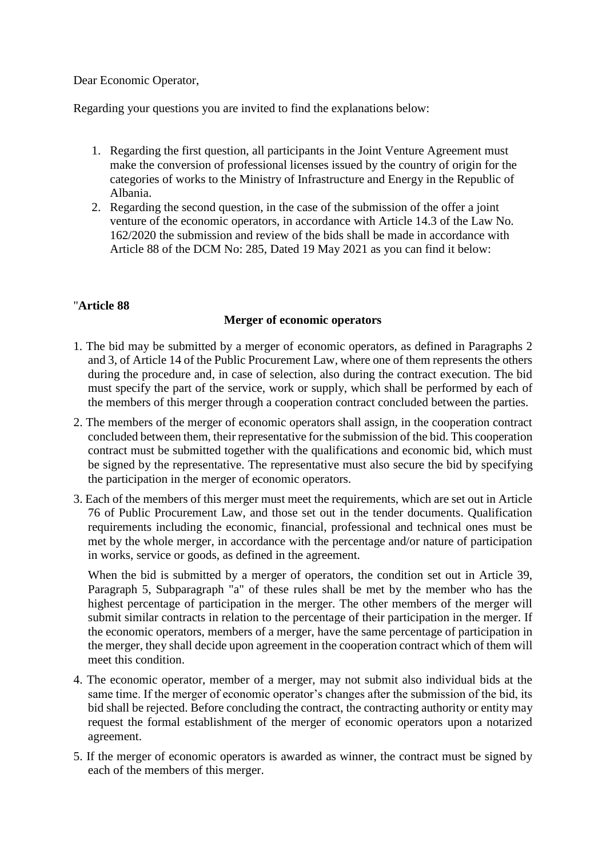Dear Economic Operator,

Regarding your questions you are invited to find the explanations below:

- 1. Regarding the first question, all participants in the Joint Venture Agreement must make the conversion of professional licenses issued by the country of origin for the categories of works to the Ministry of Infrastructure and Energy in the Republic of Albania.
- 2. Regarding the second question, in the case of the submission of the offer a joint venture of the economic operators, in accordance with Article 14.3 of the Law No. 162/2020 the submission and review of the bids shall be made in accordance with Article 88 of the DCM No: 285, Dated 19 May 2021 as you can find it below:

## "**Article 88**

## **Merger of economic operators**

- 1. The bid may be submitted by a merger of economic operators, as defined in Paragraphs 2 and 3, of Article 14 of the Public Procurement Law, where one of them represents the others during the procedure and, in case of selection, also during the contract execution. The bid must specify the part of the service, work or supply, which shall be performed by each of the members of this merger through a cooperation contract concluded between the parties.
- 2. The members of the merger of economic operators shall assign, in the cooperation contract concluded between them, their representative for the submission of the bid. This cooperation contract must be submitted together with the qualifications and economic bid, which must be signed by the representative. The representative must also secure the bid by specifying the participation in the merger of economic operators.
- 3. Each of the members of this merger must meet the requirements, which are set out in Article 76 of Public Procurement Law, and those set out in the tender documents. Qualification requirements including the economic, financial, professional and technical ones must be met by the whole merger, in accordance with the percentage and/or nature of participation in works, service or goods, as defined in the agreement.

When the bid is submitted by a merger of operators, the condition set out in Article 39, Paragraph 5, Subparagraph "a" of these rules shall be met by the member who has the highest percentage of participation in the merger. The other members of the merger will submit similar contracts in relation to the percentage of their participation in the merger. If the economic operators, members of a merger, have the same percentage of participation in the merger, they shall decide upon agreement in the cooperation contract which of them will meet this condition.

- 4. The economic operator, member of a merger, may not submit also individual bids at the same time. If the merger of economic operator's changes after the submission of the bid, its bid shall be rejected. Before concluding the contract, the contracting authority or entity may request the formal establishment of the merger of economic operators upon a notarized agreement.
- 5. If the merger of economic operators is awarded as winner, the contract must be signed by each of the members of this merger.